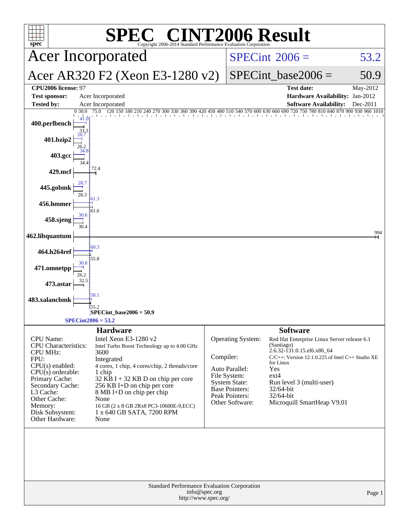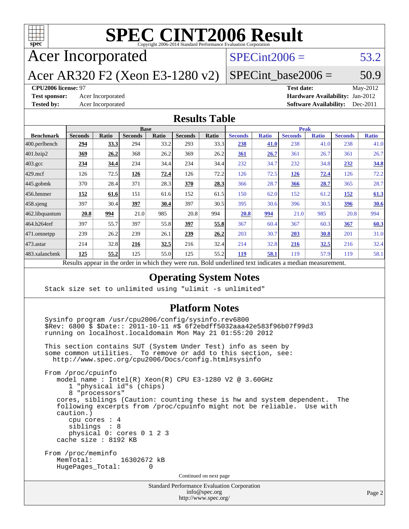

Acer Incorporated

### $SPECint2006 = 53.2$  $SPECint2006 = 53.2$

Acer AR320 F2 (Xeon E3-1280 v2)

 $SPECTnt\_base2006 = 50.9$ 

#### **[CPU2006 license:](http://www.spec.org/auto/cpu2006/Docs/result-fields.html#CPU2006license)** 97 **[Test date:](http://www.spec.org/auto/cpu2006/Docs/result-fields.html#Testdate)** May-2012

**[Test sponsor:](http://www.spec.org/auto/cpu2006/Docs/result-fields.html#Testsponsor)** Acer Incorporated **Acceleration Acer Incorporated <b>[Hardware Availability:](http://www.spec.org/auto/cpu2006/Docs/result-fields.html#HardwareAvailability)** Jan-2012 **[Tested by:](http://www.spec.org/auto/cpu2006/Docs/result-fields.html#Testedby)** Acer Incorporated **[Software Availability:](http://www.spec.org/auto/cpu2006/Docs/result-fields.html#SoftwareAvailability)** Dec-2011

#### **[Results Table](http://www.spec.org/auto/cpu2006/Docs/result-fields.html#ResultsTable)**

|                   | <b>Base</b>                                                                                              |              |                |       | <b>Peak</b>    |       |                |              |                |              |                |              |
|-------------------|----------------------------------------------------------------------------------------------------------|--------------|----------------|-------|----------------|-------|----------------|--------------|----------------|--------------|----------------|--------------|
| <b>Benchmark</b>  | <b>Seconds</b>                                                                                           | <b>Ratio</b> | <b>Seconds</b> | Ratio | <b>Seconds</b> | Ratio | <b>Seconds</b> | <b>Ratio</b> | <b>Seconds</b> | <b>Ratio</b> | <b>Seconds</b> | <b>Ratio</b> |
| $ 400$ .perlbench | 294                                                                                                      | <u>33.3</u>  | 294            | 33.2  | 293            | 33.3  | 238            | 41.0         | 238            | 41.0         | 238            | 41.0         |
| 401.bzip2         | 369                                                                                                      | 26.2         | 368            | 26.2  | 369            | 26.2  | 361            | 26.7         | 361            | 26.7         | 361            | 26.7         |
| $403.\text{gcc}$  | 234                                                                                                      | 34.4         | 234            | 34.4  | 234            | 34.4  | 232            | 34.7         | 232            | 34.8         | 232            | 34.8         |
| $429$ .mcf        | 126                                                                                                      | 72.5         | 126            | 72.4  | 126            | 72.2  | 126            | 72.5         | 126            | 72.4         | 126            | 72.2         |
| $445$ .gobmk      | 370                                                                                                      | 28.4         | 371            | 28.3  | 370            | 28.3  | 366            | 28.7         | 366            | 28.7         | 365            | 28.7         |
| $456.$ hmmer      | 152                                                                                                      | 61.6         | 151            | 61.6  | 152            | 61.5  | 150            | 62.0         | 152            | 61.2         | <u>152</u>     | 61.3         |
| $458$ .sjeng      | 397                                                                                                      | 30.4         | 397            | 30.4  | 397            | 30.5  | 395            | 30.6         | 396            | 30.5         | 396            | 30.6         |
| 462.libquantum    | 20.8                                                                                                     | 994          | 21.0           | 985   | 20.8           | 994   | 20.8           | 994          | 21.0           | 985          | 20.8           | 994          |
| 464.h264ref       | 397                                                                                                      | 55.7         | 397            | 55.8  | 397            | 55.8  | 367            | 60.4         | 367            | 60.3         | 367            | 60.3         |
| $ 471$ .omnetpp   | 239                                                                                                      | 26.2         | 239            | 26.1  | 239            | 26.2  | 203            | 30.7         | 203            | 30.8         | 201            | 31.0         |
| $ 473$ . astar    | 214                                                                                                      | 32.8         | 216            | 32.5  | 216            | 32.4  | 214            | 32.8         | 216            | 32.5         | 216            | 32.4         |
| 483.xalancbmk     | 125                                                                                                      | 55.2         | 125            | 55.0  | 125            | 55.2  | <b>119</b>     | 58.1         | 119            | 57.9         | 119            | 58.1         |
|                   | Results appear in the order in which they were run. Bold underlined text indicates a median measurement. |              |                |       |                |       |                |              |                |              |                |              |

#### **[Operating System Notes](http://www.spec.org/auto/cpu2006/Docs/result-fields.html#OperatingSystemNotes)**

Stack size set to unlimited using "ulimit -s unlimited"

#### **[Platform Notes](http://www.spec.org/auto/cpu2006/Docs/result-fields.html#PlatformNotes)**

 Sysinfo program /usr/cpu2006/config/sysinfo.rev6800 \$Rev: 6800 \$ \$Date:: 2011-10-11 #\$ 6f2ebdff5032aaa42e583f96b07f99d3 running on localhost.localdomain Mon May 21 01:55:20 2012

 This section contains SUT (System Under Test) info as seen by some common utilities. To remove or add to this section, see: <http://www.spec.org/cpu2006/Docs/config.html#sysinfo>

 From /proc/cpuinfo model name : Intel(R) Xeon(R) CPU E3-1280 V2 @ 3.60GHz 1 "physical id"s (chips) 8 "processors" cores, siblings (Caution: counting these is hw and system dependent. The following excerpts from /proc/cpuinfo might not be reliable. Use with caution.) cpu cores : 4 siblings : 8 physical 0: cores 0 1 2 3 cache size : 8192 KB From /proc/meminfo<br>MemTotal: 16302672 kB HugePages\_Total: 0 Continued on next page

> Standard Performance Evaluation Corporation [info@spec.org](mailto:info@spec.org) <http://www.spec.org/>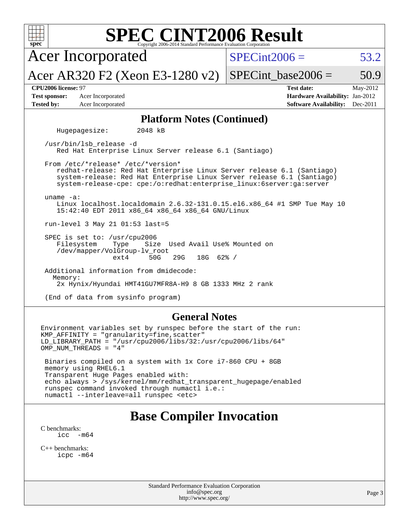| <b>SPEC CINT2006 Result</b><br>$spec^*$<br>Copyright 2006-2014 Standard Performance Evaluation Corporation                                                                                                                                                                                       |                                                                                                               |  |  |  |  |  |  |  |
|--------------------------------------------------------------------------------------------------------------------------------------------------------------------------------------------------------------------------------------------------------------------------------------------------|---------------------------------------------------------------------------------------------------------------|--|--|--|--|--|--|--|
| <b>Acer Incorporated</b>                                                                                                                                                                                                                                                                         | $SPECint2006 =$<br>53.2                                                                                       |  |  |  |  |  |  |  |
| Acer AR320 F2 (Xeon E3-1280 v2)                                                                                                                                                                                                                                                                  | $SPECint\_base2006 =$<br>50.9                                                                                 |  |  |  |  |  |  |  |
| CPU2006 license: 97<br><b>Test sponsor:</b><br>Acer Incorporated<br><b>Tested by:</b><br>Acer Incorporated                                                                                                                                                                                       | <b>Test date:</b><br>May-2012<br>Hardware Availability: Jan-2012<br><b>Software Availability:</b><br>Dec-2011 |  |  |  |  |  |  |  |
| <b>Platform Notes (Continued)</b>                                                                                                                                                                                                                                                                |                                                                                                               |  |  |  |  |  |  |  |
| Hugepagesize:<br>2048 kB                                                                                                                                                                                                                                                                         |                                                                                                               |  |  |  |  |  |  |  |
| /usr/bin/lsb_release -d<br>Red Hat Enterprise Linux Server release 6.1 (Santiago)                                                                                                                                                                                                                |                                                                                                               |  |  |  |  |  |  |  |
| From /etc/*release* /etc/*version*<br>redhat-release: Red Hat Enterprise Linux Server release 6.1 (Santiago)<br>system-release: Red Hat Enterprise Linux Server release 6.1 (Santiago)<br>system-release-cpe: cpe:/o:redhat:enterprise_linux:6server:ga:server                                   |                                                                                                               |  |  |  |  |  |  |  |
| uname $-a$ :<br>Linux localhost.localdomain 2.6.32-131.0.15.el6.x86_64 #1 SMP Tue May 10<br>15:42:40 EDT 2011 x86_64 x86_64 x86_64 GNU/Linux                                                                                                                                                     |                                                                                                               |  |  |  |  |  |  |  |
| run-level 3 May 21 01:53 last=5                                                                                                                                                                                                                                                                  |                                                                                                               |  |  |  |  |  |  |  |
| SPEC is set to: /usr/cpu2006<br>Size Used Avail Use% Mounted on<br>Filesystem<br>Type<br>/dev/mapper/VolGroup-lv_root<br>29G<br>$18G$ 62% /<br>$ext{4}$<br>50G                                                                                                                                   |                                                                                                               |  |  |  |  |  |  |  |
| Additional information from dmidecode:                                                                                                                                                                                                                                                           |                                                                                                               |  |  |  |  |  |  |  |
| Memory:<br>2x Hynix/Hyundai HMT41GU7MFR8A-H9 8 GB 1333 MHz 2 rank                                                                                                                                                                                                                                |                                                                                                               |  |  |  |  |  |  |  |
| (End of data from sysinfo program)                                                                                                                                                                                                                                                               |                                                                                                               |  |  |  |  |  |  |  |
| <b>General Notes</b>                                                                                                                                                                                                                                                                             |                                                                                                               |  |  |  |  |  |  |  |
| Environment variables set by runspec before the start of the run:<br>KMP_AFFINITY = "granularity=fine, scatter"<br>$LD_LIBRRRY_PATH = "/usr/cpu2006/libs/32:/usr/cpu2006/libs/64"$<br>OMP_NUM_THREADS = "4"                                                                                      |                                                                                                               |  |  |  |  |  |  |  |
| Binaries compiled on a system with 1x Core i7-860 CPU + 8GB<br>memory using RHEL6.1<br>Transparent Huge Pages enabled with:<br>echo always > /sys/kernel/mm/redhat_transparent_hugepage/enabled<br>runspec command invoked through numactl i.e.:<br>numactl --interleave=all runspec <etc></etc> |                                                                                                               |  |  |  |  |  |  |  |
| Rose Compiler Invocation                                                                                                                                                                                                                                                                         |                                                                                                               |  |  |  |  |  |  |  |

#### **[Base Compiler Invocation](http://www.spec.org/auto/cpu2006/Docs/result-fields.html#BaseCompilerInvocation)**

[C benchmarks](http://www.spec.org/auto/cpu2006/Docs/result-fields.html#Cbenchmarks): [icc -m64](http://www.spec.org/cpu2006/results/res2012q3/cpu2006-20120611-22847.flags.html#user_CCbase_intel_icc_64bit_f346026e86af2a669e726fe758c88044)

[C++ benchmarks:](http://www.spec.org/auto/cpu2006/Docs/result-fields.html#CXXbenchmarks) [icpc -m64](http://www.spec.org/cpu2006/results/res2012q3/cpu2006-20120611-22847.flags.html#user_CXXbase_intel_icpc_64bit_fc66a5337ce925472a5c54ad6a0de310)

> Standard Performance Evaluation Corporation [info@spec.org](mailto:info@spec.org) <http://www.spec.org/>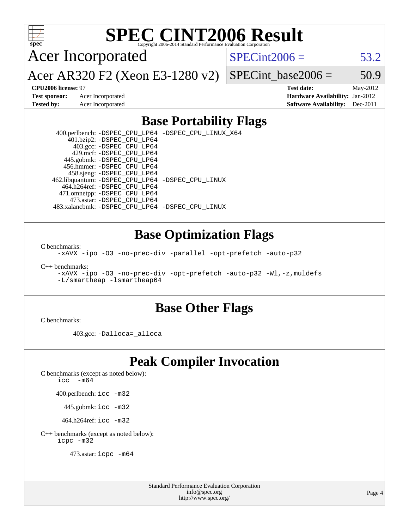

Acer Incorporated

 $SPECint2006 = 53.2$  $SPECint2006 = 53.2$ 

Acer AR320 F2 (Xeon E3-1280 v2)

SPECint base2006 =  $50.9$ 

**[CPU2006 license:](http://www.spec.org/auto/cpu2006/Docs/result-fields.html#CPU2006license)** 97 **[Test date:](http://www.spec.org/auto/cpu2006/Docs/result-fields.html#Testdate)** May-2012 **[Test sponsor:](http://www.spec.org/auto/cpu2006/Docs/result-fields.html#Testsponsor)** Acer Incorporated **[Hardware Availability:](http://www.spec.org/auto/cpu2006/Docs/result-fields.html#HardwareAvailability)** Jan-2012 **[Tested by:](http://www.spec.org/auto/cpu2006/Docs/result-fields.html#Testedby)** Acer Incorporated **[Software Availability:](http://www.spec.org/auto/cpu2006/Docs/result-fields.html#SoftwareAvailability)** Dec-2011

### **[Base Portability Flags](http://www.spec.org/auto/cpu2006/Docs/result-fields.html#BasePortabilityFlags)**

 400.perlbench: [-DSPEC\\_CPU\\_LP64](http://www.spec.org/cpu2006/results/res2012q3/cpu2006-20120611-22847.flags.html#b400.perlbench_basePORTABILITY_DSPEC_CPU_LP64) [-DSPEC\\_CPU\\_LINUX\\_X64](http://www.spec.org/cpu2006/results/res2012q3/cpu2006-20120611-22847.flags.html#b400.perlbench_baseCPORTABILITY_DSPEC_CPU_LINUX_X64) 401.bzip2: [-DSPEC\\_CPU\\_LP64](http://www.spec.org/cpu2006/results/res2012q3/cpu2006-20120611-22847.flags.html#suite_basePORTABILITY401_bzip2_DSPEC_CPU_LP64) 403.gcc: [-DSPEC\\_CPU\\_LP64](http://www.spec.org/cpu2006/results/res2012q3/cpu2006-20120611-22847.flags.html#suite_basePORTABILITY403_gcc_DSPEC_CPU_LP64) 429.mcf: [-DSPEC\\_CPU\\_LP64](http://www.spec.org/cpu2006/results/res2012q3/cpu2006-20120611-22847.flags.html#suite_basePORTABILITY429_mcf_DSPEC_CPU_LP64) 445.gobmk: [-DSPEC\\_CPU\\_LP64](http://www.spec.org/cpu2006/results/res2012q3/cpu2006-20120611-22847.flags.html#suite_basePORTABILITY445_gobmk_DSPEC_CPU_LP64) 456.hmmer: [-DSPEC\\_CPU\\_LP64](http://www.spec.org/cpu2006/results/res2012q3/cpu2006-20120611-22847.flags.html#suite_basePORTABILITY456_hmmer_DSPEC_CPU_LP64) 458.sjeng: [-DSPEC\\_CPU\\_LP64](http://www.spec.org/cpu2006/results/res2012q3/cpu2006-20120611-22847.flags.html#suite_basePORTABILITY458_sjeng_DSPEC_CPU_LP64) 462.libquantum: [-DSPEC\\_CPU\\_LP64](http://www.spec.org/cpu2006/results/res2012q3/cpu2006-20120611-22847.flags.html#suite_basePORTABILITY462_libquantum_DSPEC_CPU_LP64) [-DSPEC\\_CPU\\_LINUX](http://www.spec.org/cpu2006/results/res2012q3/cpu2006-20120611-22847.flags.html#b462.libquantum_baseCPORTABILITY_DSPEC_CPU_LINUX) 464.h264ref: [-DSPEC\\_CPU\\_LP64](http://www.spec.org/cpu2006/results/res2012q3/cpu2006-20120611-22847.flags.html#suite_basePORTABILITY464_h264ref_DSPEC_CPU_LP64) 471.omnetpp: [-DSPEC\\_CPU\\_LP64](http://www.spec.org/cpu2006/results/res2012q3/cpu2006-20120611-22847.flags.html#suite_basePORTABILITY471_omnetpp_DSPEC_CPU_LP64) 473.astar: [-DSPEC\\_CPU\\_LP64](http://www.spec.org/cpu2006/results/res2012q3/cpu2006-20120611-22847.flags.html#suite_basePORTABILITY473_astar_DSPEC_CPU_LP64) 483.xalancbmk: [-DSPEC\\_CPU\\_LP64](http://www.spec.org/cpu2006/results/res2012q3/cpu2006-20120611-22847.flags.html#suite_basePORTABILITY483_xalancbmk_DSPEC_CPU_LP64) [-DSPEC\\_CPU\\_LINUX](http://www.spec.org/cpu2006/results/res2012q3/cpu2006-20120611-22847.flags.html#b483.xalancbmk_baseCXXPORTABILITY_DSPEC_CPU_LINUX)

#### **[Base Optimization Flags](http://www.spec.org/auto/cpu2006/Docs/result-fields.html#BaseOptimizationFlags)**

[C benchmarks](http://www.spec.org/auto/cpu2006/Docs/result-fields.html#Cbenchmarks):

[-xAVX](http://www.spec.org/cpu2006/results/res2012q3/cpu2006-20120611-22847.flags.html#user_CCbase_f-xAVX) [-ipo](http://www.spec.org/cpu2006/results/res2012q3/cpu2006-20120611-22847.flags.html#user_CCbase_f-ipo) [-O3](http://www.spec.org/cpu2006/results/res2012q3/cpu2006-20120611-22847.flags.html#user_CCbase_f-O3) [-no-prec-div](http://www.spec.org/cpu2006/results/res2012q3/cpu2006-20120611-22847.flags.html#user_CCbase_f-no-prec-div) [-parallel](http://www.spec.org/cpu2006/results/res2012q3/cpu2006-20120611-22847.flags.html#user_CCbase_f-parallel) [-opt-prefetch](http://www.spec.org/cpu2006/results/res2012q3/cpu2006-20120611-22847.flags.html#user_CCbase_f-opt-prefetch) [-auto-p32](http://www.spec.org/cpu2006/results/res2012q3/cpu2006-20120611-22847.flags.html#user_CCbase_f-auto-p32)

[C++ benchmarks:](http://www.spec.org/auto/cpu2006/Docs/result-fields.html#CXXbenchmarks)

[-xAVX](http://www.spec.org/cpu2006/results/res2012q3/cpu2006-20120611-22847.flags.html#user_CXXbase_f-xAVX) [-ipo](http://www.spec.org/cpu2006/results/res2012q3/cpu2006-20120611-22847.flags.html#user_CXXbase_f-ipo) [-O3](http://www.spec.org/cpu2006/results/res2012q3/cpu2006-20120611-22847.flags.html#user_CXXbase_f-O3) [-no-prec-div](http://www.spec.org/cpu2006/results/res2012q3/cpu2006-20120611-22847.flags.html#user_CXXbase_f-no-prec-div) [-opt-prefetch](http://www.spec.org/cpu2006/results/res2012q3/cpu2006-20120611-22847.flags.html#user_CXXbase_f-opt-prefetch) [-auto-p32](http://www.spec.org/cpu2006/results/res2012q3/cpu2006-20120611-22847.flags.html#user_CXXbase_f-auto-p32) [-Wl,-z,muldefs](http://www.spec.org/cpu2006/results/res2012q3/cpu2006-20120611-22847.flags.html#user_CXXbase_link_force_multiple1_74079c344b956b9658436fd1b6dd3a8a) [-L/smartheap -lsmartheap64](http://www.spec.org/cpu2006/results/res2012q3/cpu2006-20120611-22847.flags.html#user_CXXbase_SmartHeap64_5e654037dadeae1fe403ab4b4466e60b)

#### **[Base Other Flags](http://www.spec.org/auto/cpu2006/Docs/result-fields.html#BaseOtherFlags)**

[C benchmarks](http://www.spec.org/auto/cpu2006/Docs/result-fields.html#Cbenchmarks):

403.gcc: [-Dalloca=\\_alloca](http://www.spec.org/cpu2006/results/res2012q3/cpu2006-20120611-22847.flags.html#b403.gcc_baseEXTRA_CFLAGS_Dalloca_be3056838c12de2578596ca5467af7f3)

### **[Peak Compiler Invocation](http://www.spec.org/auto/cpu2006/Docs/result-fields.html#PeakCompilerInvocation)**

[C benchmarks \(except as noted below\)](http://www.spec.org/auto/cpu2006/Docs/result-fields.html#Cbenchmarksexceptasnotedbelow):

icc  $-m64$ 

400.perlbench: [icc -m32](http://www.spec.org/cpu2006/results/res2012q3/cpu2006-20120611-22847.flags.html#user_peakCCLD400_perlbench_intel_icc_a6a621f8d50482236b970c6ac5f55f93)

445.gobmk: [icc -m32](http://www.spec.org/cpu2006/results/res2012q3/cpu2006-20120611-22847.flags.html#user_peakCCLD445_gobmk_intel_icc_a6a621f8d50482236b970c6ac5f55f93)

464.h264ref: [icc -m32](http://www.spec.org/cpu2006/results/res2012q3/cpu2006-20120611-22847.flags.html#user_peakCCLD464_h264ref_intel_icc_a6a621f8d50482236b970c6ac5f55f93)

[C++ benchmarks \(except as noted below\):](http://www.spec.org/auto/cpu2006/Docs/result-fields.html#CXXbenchmarksexceptasnotedbelow) [icpc -m32](http://www.spec.org/cpu2006/results/res2012q3/cpu2006-20120611-22847.flags.html#user_CXXpeak_intel_icpc_4e5a5ef1a53fd332b3c49e69c3330699)

473.astar: [icpc -m64](http://www.spec.org/cpu2006/results/res2012q3/cpu2006-20120611-22847.flags.html#user_peakCXXLD473_astar_intel_icpc_64bit_fc66a5337ce925472a5c54ad6a0de310)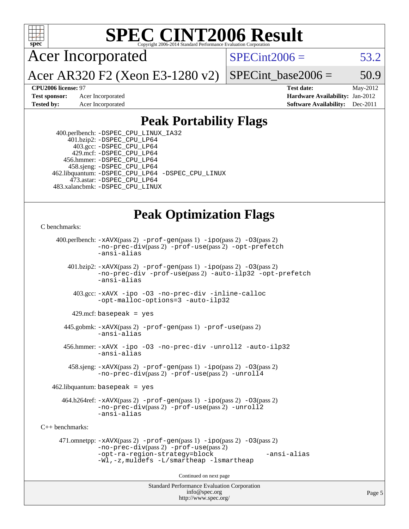

Acer Incorporated

 $SPECint2006 = 53.2$  $SPECint2006 = 53.2$ 

Acer AR320 F2 (Xeon E3-1280 v2)

SPECint base2006 =  $50.9$ 

**[CPU2006 license:](http://www.spec.org/auto/cpu2006/Docs/result-fields.html#CPU2006license)** 97 **[Test date:](http://www.spec.org/auto/cpu2006/Docs/result-fields.html#Testdate)** May-2012 **[Test sponsor:](http://www.spec.org/auto/cpu2006/Docs/result-fields.html#Testsponsor)** Acer Incorporated **[Hardware Availability:](http://www.spec.org/auto/cpu2006/Docs/result-fields.html#HardwareAvailability)** Jan-2012 **[Tested by:](http://www.spec.org/auto/cpu2006/Docs/result-fields.html#Testedby)** Acer Incorporated **[Software Availability:](http://www.spec.org/auto/cpu2006/Docs/result-fields.html#SoftwareAvailability)** Dec-2011

### **[Peak Portability Flags](http://www.spec.org/auto/cpu2006/Docs/result-fields.html#PeakPortabilityFlags)**

 400.perlbench: [-DSPEC\\_CPU\\_LINUX\\_IA32](http://www.spec.org/cpu2006/results/res2012q3/cpu2006-20120611-22847.flags.html#b400.perlbench_peakCPORTABILITY_DSPEC_CPU_LINUX_IA32) 401.bzip2: [-DSPEC\\_CPU\\_LP64](http://www.spec.org/cpu2006/results/res2012q3/cpu2006-20120611-22847.flags.html#suite_peakPORTABILITY401_bzip2_DSPEC_CPU_LP64) 403.gcc: [-DSPEC\\_CPU\\_LP64](http://www.spec.org/cpu2006/results/res2012q3/cpu2006-20120611-22847.flags.html#suite_peakPORTABILITY403_gcc_DSPEC_CPU_LP64) 429.mcf: [-DSPEC\\_CPU\\_LP64](http://www.spec.org/cpu2006/results/res2012q3/cpu2006-20120611-22847.flags.html#suite_peakPORTABILITY429_mcf_DSPEC_CPU_LP64) 456.hmmer: [-DSPEC\\_CPU\\_LP64](http://www.spec.org/cpu2006/results/res2012q3/cpu2006-20120611-22847.flags.html#suite_peakPORTABILITY456_hmmer_DSPEC_CPU_LP64) 458.sjeng: [-DSPEC\\_CPU\\_LP64](http://www.spec.org/cpu2006/results/res2012q3/cpu2006-20120611-22847.flags.html#suite_peakPORTABILITY458_sjeng_DSPEC_CPU_LP64) 462.libquantum: [-DSPEC\\_CPU\\_LP64](http://www.spec.org/cpu2006/results/res2012q3/cpu2006-20120611-22847.flags.html#suite_peakPORTABILITY462_libquantum_DSPEC_CPU_LP64) [-DSPEC\\_CPU\\_LINUX](http://www.spec.org/cpu2006/results/res2012q3/cpu2006-20120611-22847.flags.html#b462.libquantum_peakCPORTABILITY_DSPEC_CPU_LINUX) 473.astar: [-DSPEC\\_CPU\\_LP64](http://www.spec.org/cpu2006/results/res2012q3/cpu2006-20120611-22847.flags.html#suite_peakPORTABILITY473_astar_DSPEC_CPU_LP64) 483.xalancbmk: [-DSPEC\\_CPU\\_LINUX](http://www.spec.org/cpu2006/results/res2012q3/cpu2006-20120611-22847.flags.html#b483.xalancbmk_peakCXXPORTABILITY_DSPEC_CPU_LINUX)

### **[Peak Optimization Flags](http://www.spec.org/auto/cpu2006/Docs/result-fields.html#PeakOptimizationFlags)**

```
C benchmarks:
```

```
Standard Performance Evaluation Corporation
                                          info@spec.org
     400.perlbench: -xAVX(pass 2) -prof-gen(pass 1) -ipo(pass 2) -O3(pass 2)
                -no-prec-div(pass 2) -prof-use(pass 2) -opt-prefetch
                -ansi-alias
        401.bzip2: -xAVX(pass 2) -prof-gen(pass 1) -ipo(pass 2) -O3(pass 2)
                -no-prec-div -prof-use(pass 2) -auto-ilp32 -opt-prefetch
                -ansi-alias
          403.gcc: -xAVX -ipo -O3 -no-prec-div -inline-calloc
                -opt-malloc-options=3 -auto-ilp32
         429.mcf: basepeak = yes
       445.gobmk: -xAVX(pass 2) -prof-gen(pass 1) -prof-use(pass 2)
                -ansi-alias
       456.hmmer: -xAVX -ipo -O3 -no-prec-div -unroll2 -auto-ilp32
                -ansi-alias
         458.sjeng: -xAVX(pass 2) -prof-gen(pass 1) -ipo(pass 2) -O3(pass 2)
                -no-prec-div(pass 2) -prof-use(pass 2) -unroll4
    462.libquantum: basepeak = yes
       464.h264ref: -xAVX(pass 2) -prof-gen(pass 1) -ipo(pass 2) -O3(pass 2)
                -no-prec-div(pass 2) -prof-use(pass 2) -unroll2
                -ansi-alias
C++ benchmarks: 
      471.omnetpp: -xAVX(pass 2) -prof-gen(pass 1) -ipo(pass 2) -O3(pass 2)
                -no-prec-div(pass 2) -prof-use(pass 2)
                -opt-ra-region-strategy=block -ansi-alias
                -Wl,-z,muldefs -L/smartheap -lsmartheap
                                        Continued on next page
```
<http://www.spec.org/>

Page 5